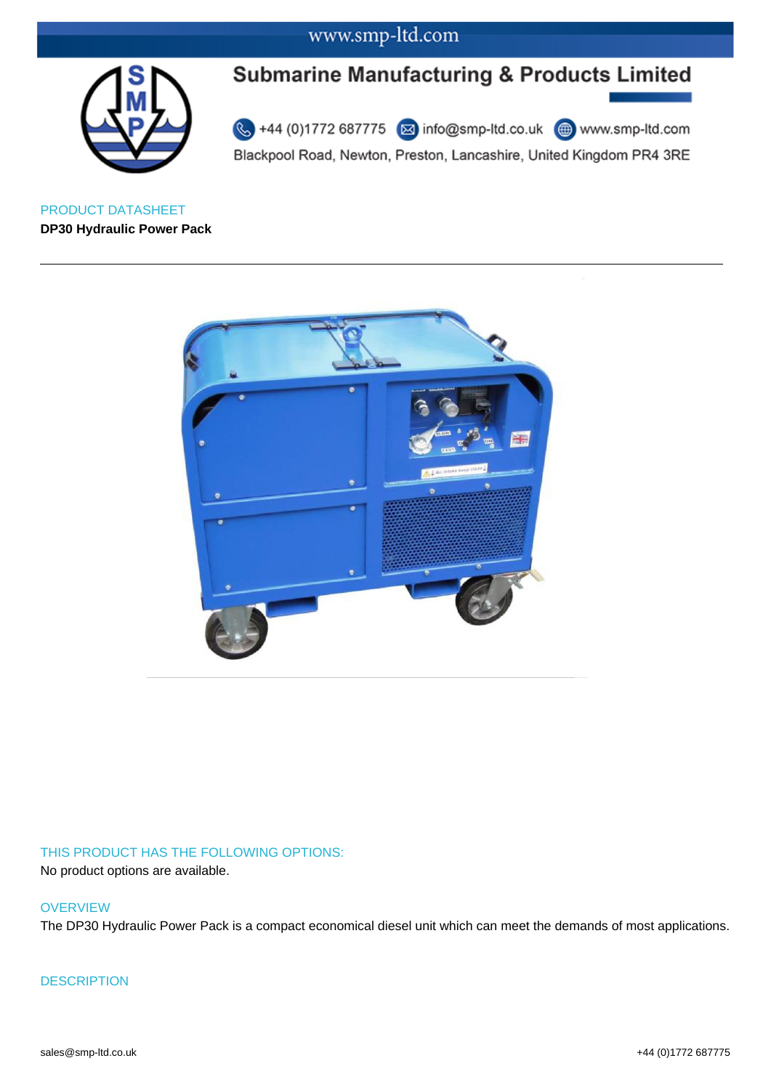

# **Submarine Manufacturing & Products Limited**

44 (0)1772 687775 2 info@smp-ltd.co.uk 4 www.smp-ltd.com Blackpool Road, Newton, Preston, Lancashire, United Kingdom PR4 3RE

PRODUCT DATASHEET **DP30 Hydraulic Power Pack**



### THIS PRODUCT HAS THE FOLLOWING OPTIONS:

No product options are available.

#### **OVERVIEW**

The DP30 Hydraulic Power Pack is a compact economical diesel unit which can meet the demands of most applications.

**DESCRIPTION**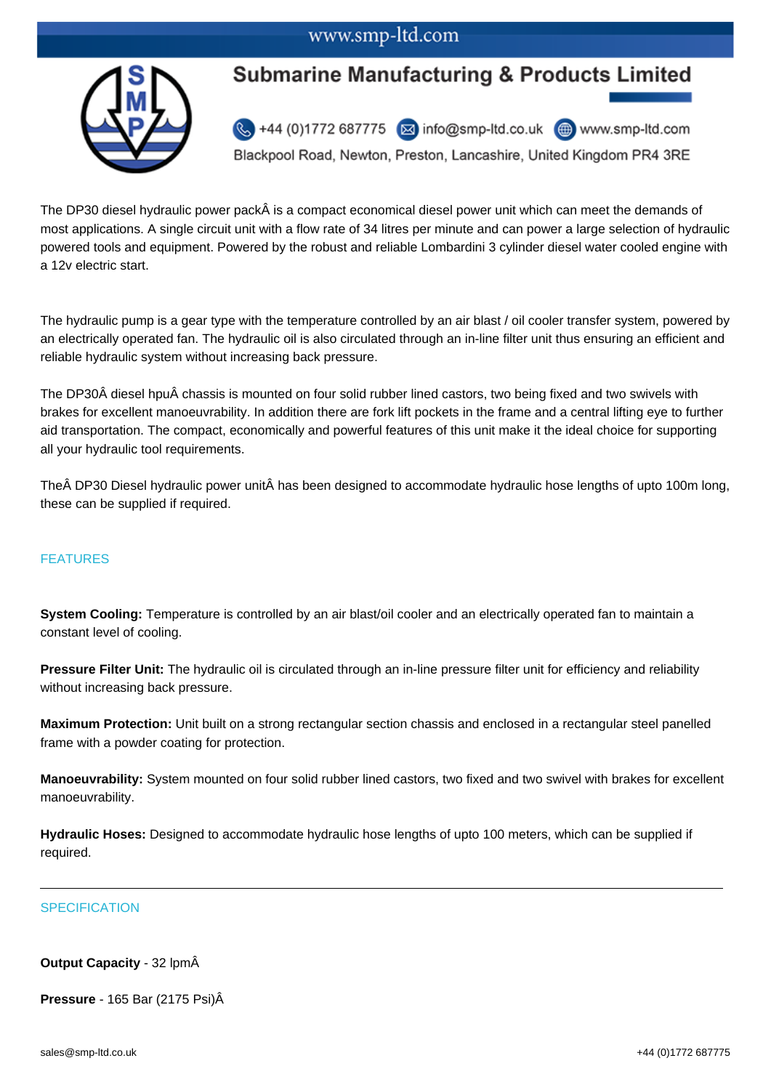## www.smp-ltd.com



# **Submarine Manufacturing & Products Limited**

44 (0)1772 687775 2 info@smp-ltd.co.uk 4 www.smp-ltd.com

Blackpool Road, Newton, Preston, Lancashire, United Kingdom PR4 3RE

The DP30 diesel hydraulic power pack is a compact economical diesel power unit which can meet the demands of most applications. A single circuit unit with a flow rate of 34 litres per minute and can power a large selection of hydraulic powered tools and equipment. Powered by the robust and reliable Lombardini 3 cylinder diesel water cooled engine with a 12v electric start.

The hydraulic pump is a gear type with the temperature controlled by an air blast / oil cooler transfer system, powered by an electrically operated fan. The hydraulic oil is also circulated through an in-line filter unit thus ensuring an efficient and reliable hydraulic system without increasing back pressure.

The DP30Šdiesel hpu chassis is mounted on four solid rubber lined castors, two being fixed and two swivels with brakes for excellent manoeuvrability. In addition there are fork lift pockets in the frame and a central lifting eye to further aid transportation. The compact, economically and powerful features of this unit make it the ideal choice for supporting all your hydraulic tool requirements.

The ÂDP30 Diesel hydraulic power unit has been designed to accommodate hydraulic hose lengths of upto 100m long, these can be supplied if required.

### FEATURES

**System Cooling:** Temperature is controlled by an air blast/oil cooler and an electrically operated fan to maintain a constant level of cooling.

**Pressure Filter Unit:** The hydraulic oil is circulated through an in-line pressure filter unit for efficiency and reliability without increasing back pressure.

**Maximum Protection:** Unit built on a strong rectangular section chassis and enclosed in a rectangular steel panelled frame with a powder coating for protection.

**Manoeuvrability:** System mounted on four solid rubber lined castors, two fixed and two swivel with brakes for excellent manoeuvrability.

**Hydraulic Hoses:** Designed to accommodate hydraulic hose lengths of upto 100 meters, which can be supplied if required.

### **SPECIFICATION**

### **Output Capacity** - 32 lpm

**Pressure** - 165 Bar (2175 Psi)Â